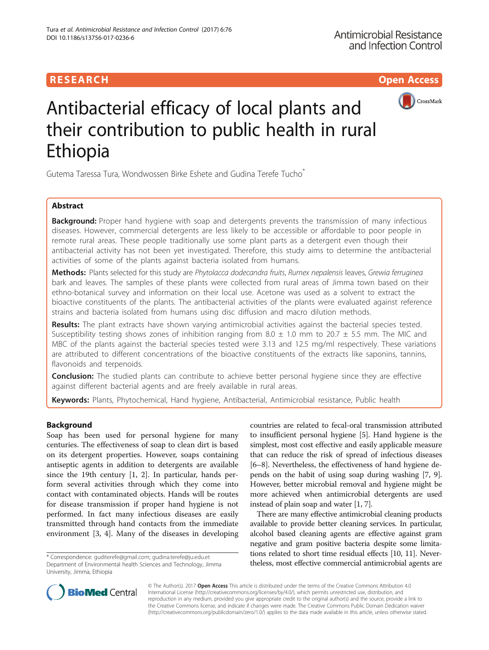



# Antibacterial efficacy of local plants and their contribution to public health in rural Ethiopia

Gutema Taressa Tura, Wondwossen Birke Eshete and Gudina Terefe Tucho\*

# Abstract

**Background:** Proper hand hygiene with soap and detergents prevents the transmission of many infectious diseases. However, commercial detergents are less likely to be accessible or affordable to poor people in remote rural areas. These people traditionally use some plant parts as a detergent even though their antibacterial activity has not been yet investigated. Therefore, this study aims to determine the antibacterial activities of some of the plants against bacteria isolated from humans.

Methods: Plants selected for this study are Phytolacca dodecandra fruits, Rumex nepalensis leaves, Grewia ferruginea bark and leaves. The samples of these plants were collected from rural areas of Jimma town based on their ethno-botanical survey and information on their local use. Acetone was used as a solvent to extract the bioactive constituents of the plants. The antibacterial activities of the plants were evaluated against reference strains and bacteria isolated from humans using disc diffusion and macro dilution methods.

Results: The plant extracts have shown varying antimicrobial activities against the bacterial species tested. Susceptibility testing shows zones of inhibition ranging from  $8.0 \pm 1.0$  mm to  $20.7 \pm 5.5$  mm. The MIC and MBC of the plants against the bacterial species tested were 3.13 and 12.5 mg/ml respectively. These variations are attributed to different concentrations of the bioactive constituents of the extracts like saponins, tannins, flavonoids and terpenoids.

**Conclusion:** The studied plants can contribute to achieve better personal hygiene since they are effective against different bacterial agents and are freely available in rural areas.

Keywords: Plants, Phytochemical, Hand hygiene, Antibacterial, Antimicrobial resistance, Public health

# Background

Soap has been used for personal hygiene for many centuries. The effectiveness of soap to clean dirt is based on its detergent properties. However, soaps containing antiseptic agents in addition to detergents are available since the 19th century [\[1](#page-5-0), [2\]](#page-5-0). In particular, hands perform several activities through which they come into contact with contaminated objects. Hands will be routes for disease transmission if proper hand hygiene is not performed. In fact many infectious diseases are easily transmitted through hand contacts from the immediate environment [\[3](#page-5-0), [4](#page-5-0)]. Many of the diseases in developing

Department of Environmental health Sciences and Technology, Jimma University, Jimma, Ethiopia

countries are related to fecal-oral transmission attributed to insufficient personal hygiene [[5\]](#page-5-0). Hand hygiene is the simplest, most cost effective and easily applicable measure that can reduce the risk of spread of infectious diseases [[6](#page-5-0)–[8](#page-5-0)]. Nevertheless, the effectiveness of hand hygiene depends on the habit of using soap during washing [[7](#page-5-0), [9](#page-5-0)]. However, better microbial removal and hygiene might be more achieved when antimicrobial detergents are used instead of plain soap and water [\[1](#page-5-0), [7\]](#page-5-0).

There are many effective antimicrobial cleaning products available to provide better cleaning services. In particular, alcohol based cleaning agents are effective against gram negative and gram positive bacteria despite some limitations related to short time residual effects [[10](#page-5-0), [11](#page-6-0)]. Nevertheless, most effective commercial antimicrobial agents are \* Correspondence: [guditerefe@gmail.com;](mailto:guditerefe@gmail.com) [gudina.terefe@ju.edu.et](mailto:gudina.terefe@ju.edu.et)<br>Department of Environmental health Sciences and Technology. Jimma \* \* \* \* \* theless, most effectiv



© The Author(s). 2017 **Open Access** This article is distributed under the terms of the Creative Commons Attribution 4.0 International License [\(http://creativecommons.org/licenses/by/4.0/](http://creativecommons.org/licenses/by/4.0/)), which permits unrestricted use, distribution, and reproduction in any medium, provided you give appropriate credit to the original author(s) and the source, provide a link to the Creative Commons license, and indicate if changes were made. The Creative Commons Public Domain Dedication waiver [\(http://creativecommons.org/publicdomain/zero/1.0/](http://creativecommons.org/publicdomain/zero/1.0/)) applies to the data made available in this article, unless otherwise stated.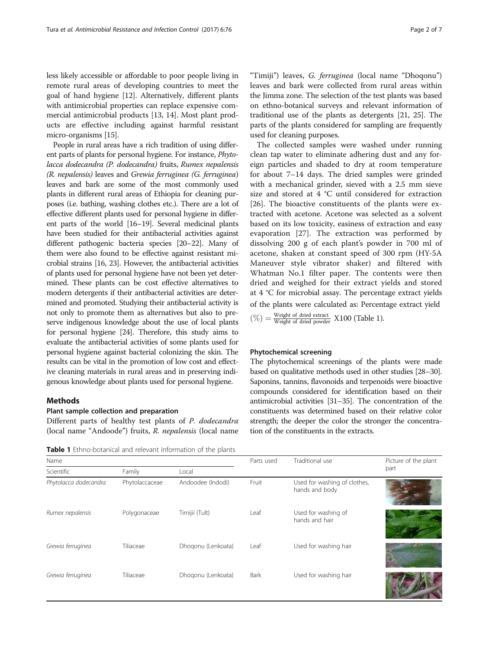less likely accessible or affordable to poor people living in remote rural areas of developing countries to meet the goal of hand hygiene [\[12\]](#page-6-0). Alternatively, different plants with antimicrobial properties can replace expensive commercial antimicrobial products [\[13, 14\]](#page-6-0). Most plant products are effective including against harmful resistant micro-organisms [\[15\]](#page-6-0).

People in rural areas have a rich tradition of using different parts of plants for personal hygiene. For instance, Phytolacca dodecandra (P. dodecandra) fruits, Rumex nepalensis (R. nepalensis) leaves and Grewia ferruginea (G. ferruginea) leaves and bark are some of the most commonly used plants in different rural areas of Ethiopia for cleaning purposes (i.e. bathing, washing clothes etc.). There are a lot of effective different plants used for personal hygiene in different parts of the world [[16](#page-6-0)–[19](#page-6-0)]. Several medicinal plants have been studied for their antibacterial activities against different pathogenic bacteria species [\[20](#page-6-0)–[22\]](#page-6-0). Many of them were also found to be effective against resistant microbial strains [\[16, 23](#page-6-0)]. However, the antibacterial activities of plants used for personal hygiene have not been yet determined. These plants can be cost effective alternatives to modern detergents if their antibacterial activities are determined and promoted. Studying their antibacterial activity is not only to promote them as alternatives but also to preserve indigenous knowledge about the use of local plants for personal hygiene [\[24](#page-6-0)]. Therefore, this study aims to evaluate the antibacterial activities of some plants used for personal hygiene against bacterial colonizing the skin. The results can be vital in the promotion of low cost and effective cleaning materials in rural areas and in preserving indigenous knowledge about plants used for personal hygiene.

# **Methods**

# Plant sample collection and preparation

Different parts of healthy test plants of P. dodecandra (local name "Andoode") fruits, R. nepalensis (local name

Table 1 Ethno-botanical and relevant information of the plants

"Timiji") leaves, G. ferruginea (local name "Dhoqonu") leaves and bark were collected from rural areas within the Jimma zone. The selection of the test plants was based on ethno-botanical surveys and relevant information of traditional use of the plants as detergents [\[21, 25](#page-6-0)]. The parts of the plants considered for sampling are frequently used for cleaning purposes.

The collected samples were washed under running clean tap water to eliminate adhering dust and any foreign particles and shaded to dry at room temperature for about 7–14 days. The dried samples were grinded with a mechanical grinder, sieved with a 2.5 mm sieve size and stored at 4 °C until considered for extraction [[26\]](#page-6-0). The bioactive constituents of the plants were extracted with acetone. Acetone was selected as a solvent based on its low toxicity, easiness of extraction and easy evaporation [[27\]](#page-6-0). The extraction was performed by dissolving 200 g of each plant's powder in 700 ml of acetone, shaken at constant speed of 300 rpm (HY-5A Maneuver style vibrator shaker) and filtered with Whatman No.1 filter paper. The contents were then dried and weighed for their extract yields and stored at 4 °C for microbial assay. The percentage extract yields of the plants were calculated as: Percentage extract yield

 $(\%) = \frac{\text{Weight of dried extract}}{\text{Weight of dried powder}}$  X100 (Table 1).

# Phytochemical screening

The phytochemical screenings of the plants were made based on qualitative methods used in other studies [[28](#page-6-0)–[30](#page-6-0)]. Saponins, tannins, flavonoids and terpenoids were bioactive compounds considered for identification based on their antimicrobial activities [[31](#page-6-0)–[35](#page-6-0)]. The concentration of the constituents was determined based on their relative color strength; the deeper the color the stronger the concentration of the constituents in the extracts.

| Name                  |                |                    | Parts used  | Traditional use                                | Picture of the plant |  |
|-----------------------|----------------|--------------------|-------------|------------------------------------------------|----------------------|--|
| Scientific            | Family         | Local              |             |                                                | part                 |  |
| Phytolacca dodecandra | Phytolaccaceae | Andoodee (Indodi)  | Fruit       | Used for washing of clothes,<br>hands and body |                      |  |
| Rumex nepalensis      | Polygonaceae   | Timijii (Tult)     | Leaf        | Used for washing of<br>hands and hair          |                      |  |
| Grewia ferruginea     | Tiliaceae      | Dhogonu (Lenkoata) | Leaf        | Used for washing hair                          |                      |  |
| Grewia ferruginea     | Tiliaceae      | Dhogonu (Lenkoata) | <b>Bark</b> | Used for washing hair                          |                      |  |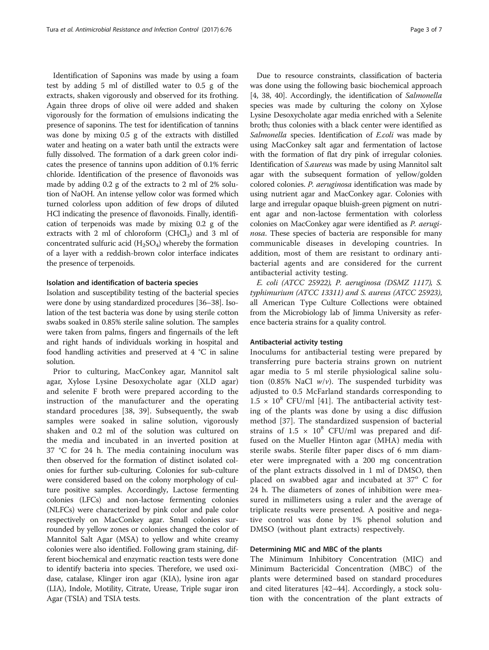Identification of Saponins was made by using a foam test by adding 5 ml of distilled water to 0.5 g of the extracts, shaken vigorously and observed for its frothing. Again three drops of olive oil were added and shaken vigorously for the formation of emulsions indicating the presence of saponins. The test for identification of tannins was done by mixing 0.5 g of the extracts with distilled water and heating on a water bath until the extracts were fully dissolved. The formation of a dark green color indicates the presence of tannins upon addition of 0.1% ferric chloride. Identification of the presence of flavonoids was made by adding 0.2 g of the extracts to 2 ml of 2% solution of NaOH. An intense yellow color was formed which turned colorless upon addition of few drops of diluted HCl indicating the presence of flavonoids. Finally, identification of terpenoids was made by mixing 0.2 g of the extracts with 2 ml of chloroform  $(CHCl<sub>3</sub>)$  and 3 ml of concentrated sulfuric acid  $(H_2SO_4)$  whereby the formation of a layer with a reddish-brown color interface indicates the presence of terpenoids.

# Isolation and identification of bacteria species

Isolation and susceptibility testing of the bacterial species were done by using standardized procedures [[36](#page-6-0)–[38\]](#page-6-0). Isolation of the test bacteria was done by using sterile cotton swabs soaked in 0.85% sterile saline solution. The samples were taken from palms, fingers and fingernails of the left and right hands of individuals working in hospital and food handling activities and preserved at 4 °C in saline solution.

Prior to culturing, MacConkey agar, Mannitol salt agar, Xylose Lysine Desoxycholate agar (XLD agar) and selenite F broth were prepared according to the instruction of the manufacturer and the operating standard procedures [[38, 39](#page-6-0)]. Subsequently, the swab samples were soaked in saline solution, vigorously shaken and 0.2 ml of the solution was cultured on the media and incubated in an inverted position at 37 °C for 24 h. The media containing inoculum was then observed for the formation of distinct isolated colonies for further sub-culturing. Colonies for sub-culture were considered based on the colony morphology of culture positive samples. Accordingly, Lactose fermenting colonies (LFCs) and non-lactose fermenting colonies (NLFCs) were characterized by pink color and pale color respectively on MacConkey agar. Small colonies surrounded by yellow zones or colonies changed the color of Mannitol Salt Agar (MSA) to yellow and white creamy colonies were also identified. Following gram staining, different biochemical and enzymatic reaction tests were done to identify bacteria into species. Therefore, we used oxidase, catalase, Klinger iron agar (KIA), lysine iron agar (LIA), Indole, Motility, Citrate, Urease, Triple sugar iron Agar (TSIA) and TSIA tests.

Due to resource constraints, classification of bacteria was done using the following basic biochemical approach [[4,](#page-5-0) [38, 40](#page-6-0)]. Accordingly, the identification of Salmonella species was made by culturing the colony on Xylose Lysine Desoxycholate agar media enriched with a Selenite broth; thus colonies with a black center were identified as Salmonella species. Identification of E.coli was made by using MacConkey salt agar and fermentation of lactose with the formation of flat dry pink of irregular colonies. Identification of S.aureus was made by using Mannitol salt agar with the subsequent formation of yellow/golden colored colonies. P. aeruginosa identification was made by using nutrient agar and MacConkey agar. Colonies with large and irregular opaque bluish-green pigment on nutrient agar and non-lactose fermentation with colorless colonies on MacConkey agar were identified as P. aeruginosa. These species of bacteria are responsible for many communicable diseases in developing countries. In addition, most of them are resistant to ordinary antibacterial agents and are considered for the current antibacterial activity testing.

E. coli (ATCC 25922), P. aeruginosa (DSMZ 1117), S. typhimurium (ATCC 13311) and S. aureus (ATCC 25923), all American Type Culture Collections were obtained from the Microbiology lab of Jimma University as reference bacteria strains for a quality control.

# Antibacterial activity testing

Inoculums for antibacterial testing were prepared by transferring pure bacteria strains grown on nutrient agar media to 5 ml sterile physiological saline solution (0.85% NaCl  $w/v$ ). The suspended turbidity was adjusted to 0.5 McFarland standards corresponding to  $1.5 \times 10^8$  CFU/ml [\[41](#page-6-0)]. The antibacterial activity testing of the plants was done by using a disc diffusion method [[37\]](#page-6-0). The standardized suspension of bacterial strains of  $1.5 \times 10^8$  CFU/ml was prepared and diffused on the Mueller Hinton agar (MHA) media with sterile swabs. Sterile filter paper discs of 6 mm diameter were impregnated with a 200 mg concentration of the plant extracts dissolved in 1 ml of DMSO, then placed on swabbed agar and incubated at  $37^{\circ}$  C for 24 h. The diameters of zones of inhibition were measured in millimeters using a ruler and the average of triplicate results were presented. A positive and negative control was done by 1% phenol solution and DMSO (without plant extracts) respectively.

# Determining MIC and MBC of the plants

The Minimum Inhibitory Concentration (MIC) and Minimum Bactericidal Concentration (MBC) of the plants were determined based on standard procedures and cited literatures [[42](#page-6-0)–[44\]](#page-6-0). Accordingly, a stock solution with the concentration of the plant extracts of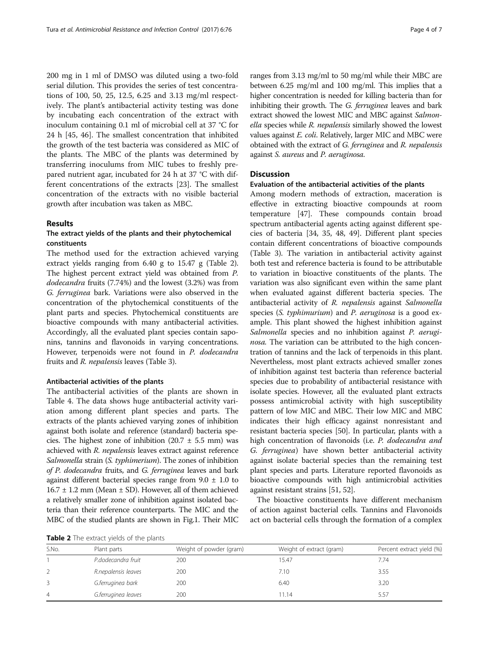200 mg in 1 ml of DMSO was diluted using a two-fold serial dilution. This provides the series of test concentrations of 100, 50, 25, 12.5, 6.25 and 3.13 mg/ml respectively. The plant's antibacterial activity testing was done by incubating each concentration of the extract with inoculum containing 0.1 ml of microbial cell at 37 °C for 24 h [[45](#page-6-0), [46](#page-6-0)]. The smallest concentration that inhibited the growth of the test bacteria was considered as MIC of the plants. The MBC of the plants was determined by transferring inoculums from MIC tubes to freshly prepared nutrient agar, incubated for 24 h at 37 °C with different concentrations of the extracts [\[23\]](#page-6-0). The smallest concentration of the extracts with no visible bacterial growth after incubation was taken as MBC.

# Results

# The extract yields of the plants and their phytochemical constituents

The method used for the extraction achieved varying extract yields ranging from 6.40 g to 15.47 g (Table 2). The highest percent extract yield was obtained from P. dodecandra fruits (7.74%) and the lowest (3.2%) was from G. ferruginea bark. Variations were also observed in the concentration of the phytochemical constituents of the plant parts and species. Phytochemical constituents are bioactive compounds with many antibacterial activities. Accordingly, all the evaluated plant species contain saponins, tannins and flavonoids in varying concentrations. However, terpenoids were not found in P. dodecandra fruits and R. nepalensis leaves (Table [3\)](#page-4-0).

# Antibacterial activities of the plants

The antibacterial activities of the plants are shown in Table [4](#page-4-0). The data shows huge antibacterial activity variation among different plant species and parts. The extracts of the plants achieved varying zones of inhibition against both isolate and reference (standard) bacteria species. The highest zone of inhibition (20.7  $\pm$  5.5 mm) was achieved with R. nepalensis leaves extract against reference Salmonella strain (S. typhimerium). The zones of inhibition of P. dodecandra fruits, and G. ferruginea leaves and bark against different bacterial species range from  $9.0 \pm 1.0$  to 16.7 ± 1.2 mm (Mean ± SD). However, all of them achieved a relatively smaller zone of inhibition against isolated bacteria than their reference counterparts. The MIC and the MBC of the studied plants are shown in Fig.[1](#page-5-0). Their MIC

Table 2 The extract yields of the plants

ranges from 3.13 mg/ml to 50 mg/ml while their MBC are between 6.25 mg/ml and 100 mg/ml. This implies that a higher concentration is needed for killing bacteria than for inhibiting their growth. The G. ferruginea leaves and bark extract showed the lowest MIC and MBC against Salmonella species while R. nepalensis similarly showed the lowest values against E. coli. Relatively, larger MIC and MBC were obtained with the extract of G. ferruginea and R. nepalensis against S. aureus and P. aeruginosa.

# **Discussion**

# Evaluation of the antibacterial activities of the plants

Among modern methods of extraction, maceration is effective in extracting bioactive compounds at room temperature [\[47](#page-6-0)]. These compounds contain broad spectrum antibacterial agents acting against different species of bacteria [\[34, 35](#page-6-0), [48, 49](#page-6-0)]. Different plant species contain different concentrations of bioactive compounds (Table [3](#page-4-0)). The variation in antibacterial activity against both test and reference bacteria is found to be attributable to variation in bioactive constituents of the plants. The variation was also significant even within the same plant when evaluated against different bacteria species. The antibacterial activity of R. nepalensis against Salmonella species (S. typhimurium) and P. aeruginosa is a good example. This plant showed the highest inhibition against Salmonella species and no inhibition against P. aeruginosa. The variation can be attributed to the high concentration of tannins and the lack of terpenoids in this plant. Nevertheless, most plant extracts achieved smaller zones of inhibition against test bacteria than reference bacterial species due to probability of antibacterial resistance with isolate species. However, all the evaluated plant extracts possess antimicrobial activity with high susceptibility pattern of low MIC and MBC. Their low MIC and MBC indicates their high efficacy against nonresistant and resistant bacteria species [\[50](#page-6-0)]. In particular, plants with a high concentration of flavonoids (i.e. P. dodecandra and G. ferruginea) have shown better antibacterial activity against isolate bacterial species than the remaining test plant species and parts. Literature reported flavonoids as bioactive compounds with high antimicrobial activities against resistant strains [\[51](#page-6-0), [52](#page-6-0)].

The bioactive constituents have different mechanism of action against bacterial cells. Tannins and Flavonoids act on bacterial cells through the formation of a complex

| S.No. | Plant parts         | Weight of powder (gram) | Weight of extract (gram) | Percent extract yield (%) |
|-------|---------------------|-------------------------|--------------------------|---------------------------|
|       | P.dodecandra fruit  | 200                     | 15.47                    | 7.74                      |
|       | R.nepalensis leaves | 200                     | 7.10                     | 3.55                      |
|       | G.ferruginea bark   | 200                     | 6.40                     | 3.20                      |
| 4     | G.ferruginea leaves | 200                     | 11.14                    | 5.57                      |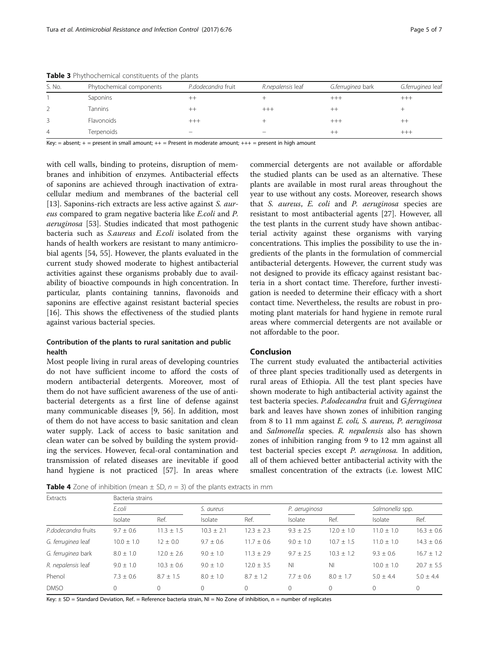| S. No.         | Phytochemical components | P.dodecandra fruit | R.nepalensis leaf        | G.ferruginea bark | G.ferruginea leaf |
|----------------|--------------------------|--------------------|--------------------------|-------------------|-------------------|
|                | Saponins                 |                    |                          | $^{+++}$          | $^{+++}$          |
|                | <b>Tannins</b>           |                    | $^{+++}$                 | $^{++}$           |                   |
|                | Flavonoids               | $^{+++}$           |                          | $^{+++}$          | $^{++}$           |
| $\overline{4}$ | Terpenoids               |                    | $\overline{\phantom{0}}$ | $^{++}$           | $+++$             |

<span id="page-4-0"></span>Table 3 Phythochemical constituents of the plants

Key:  $=$  absent;  $+$   $=$  present in small amount;  $++$   $=$  Present in moderate amount;  $++$   $=$  present in high amount

with cell walls, binding to proteins, disruption of membranes and inhibition of enzymes. Antibacterial effects of saponins are achieved through inactivation of extracellular medium and membranes of the bacterial cell [[13\]](#page-6-0). Saponins-rich extracts are less active against S. aureus compared to gram negative bacteria like E.coli and P. aeruginosa [[53\]](#page-6-0). Studies indicated that most pathogenic bacteria such as S.aureus and E.coli isolated from the hands of health workers are resistant to many antimicrobial agents [[54, 55\]](#page-6-0). However, the plants evaluated in the current study showed moderate to highest antibacterial activities against these organisms probably due to availability of bioactive compounds in high concentration. In particular, plants containing tannins, flavonoids and saponins are effective against resistant bacterial species [[16\]](#page-6-0). This shows the effectiveness of the studied plants against various bacterial species.

# Contribution of the plants to rural sanitation and public health

Most people living in rural areas of developing countries do not have sufficient income to afford the costs of modern antibacterial detergents. Moreover, most of them do not have sufficient awareness of the use of antibacterial detergents as a first line of defense against many communicable diseases [\[9,](#page-5-0) [56](#page-6-0)]. In addition, most of them do not have access to basic sanitation and clean water supply. Lack of access to basic sanitation and clean water can be solved by building the system providing the services. However, fecal-oral contamination and transmission of related diseases are inevitable if good hand hygiene is not practiced [[57](#page-6-0)]. In areas where

commercial detergents are not available or affordable the studied plants can be used as an alternative. These plants are available in most rural areas throughout the year to use without any costs. Moreover, research shows that S. aureus, E. coli and P. aeruginosa species are resistant to most antibacterial agents [[27](#page-6-0)]. However, all the test plants in the current study have shown antibacterial activity against these organisms with varying concentrations. This implies the possibility to use the ingredients of the plants in the formulation of commercial antibacterial detergents. However, the current study was not designed to provide its efficacy against resistant bacteria in a short contact time. Therefore, further investigation is needed to determine their efficacy with a short contact time. Nevertheless, the results are robust in promoting plant materials for hand hygiene in remote rural areas where commercial detergents are not available or not affordable to the poor.

# Conclusion

The current study evaluated the antibacterial activities of three plant species traditionally used as detergents in rural areas of Ethiopia. All the test plant species have shown moderate to high antibacterial activity against the test bacteria species. P.dodecandra fruit and G.ferruginea bark and leaves have shown zones of inhibition ranging from 8 to 11 mm against E. coli, S. aureus, P. aeruginosa and Salmonella species. R. nepalensis also has shown zones of inhibition ranging from 9 to 12 mm against all test bacterial species except P. aeruginosa. In addition, all of them achieved better antibacterial activity with the smallest concentration of the extracts (i.e. lowest MIC

**Table 4** Zone of inhibition (mean  $\pm$  SD,  $n = 3$ ) of the plants extracts in mm

| Extracts            | Bacteria strains |                |                |                |                |                |                |                 |  |
|---------------------|------------------|----------------|----------------|----------------|----------------|----------------|----------------|-----------------|--|
|                     | E.coli           |                | S. aureus      |                |                | P. aeruginosa  |                | Salmonella spp. |  |
|                     | Isolate          | Ref.           | Isolate        | Ref.           | Isolate        | Ref.           | Isolate        | Ref.            |  |
| P.dodecandra fruits | $9.7 \pm 0.6$    | $11.3 \pm 1.5$ | $10.3 \pm 2.1$ | $12.3 + 2.3$   | $9.3 + 2.5$    | $12.0 + 1.0$   | $11.0 \pm 1.0$ | $16.3 \pm 0.6$  |  |
| G. ferruginea leaf  | $10.0 \pm 1.0$   | $12 \pm 0.0$   | $9.7 \pm 0.6$  | $11.7 \pm 0.6$ | $9.0 \pm 1.0$  | $10.7 \pm 1.5$ | $11.0 \pm 1.0$ | $14.3 \pm 0.6$  |  |
| G. ferruginea bark  | $8.0 \pm 1.0$    | $12.0 \pm 2.6$ | $9.0 \pm 1.0$  | $11.3 \pm 2.9$ | $9.7 \pm 2.5$  | $10.3 \pm 1.2$ | $9.3 \pm 0.6$  | $16.7 \pm 1.2$  |  |
| R. nepalensis leaf  | $9.0 \pm 1.0$    | $10.3 \pm 0.6$ | $9.0 \pm 1.0$  | $12.0 \pm 3.5$ | N <sub>l</sub> | N <sub>1</sub> | $10.0 \pm 1.0$ | $20.7 \pm 5.5$  |  |
| Phenol              | $7.3 \pm 0.6$    | $8.7 + 1.5$    | $8.0 + 1.0$    | $8.7 + 1.2$    | $7.7 + 0.6$    | $8.0 \pm 1.7$  | $5.0 + 4.4$    | $5.0 \pm 4.4$   |  |
| <b>DMSO</b>         | 0                | $\Omega$       | $\Omega$       | $\Omega$       | $\Omega$       |                |                | 0               |  |

Key:  $\pm$  SD = Standard Deviation, Ref. = Reference bacteria strain, NI = No Zone of inhibition, n = number of replicates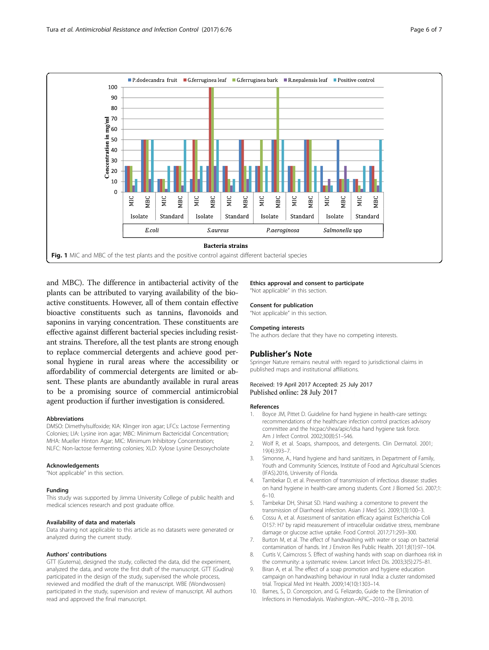<span id="page-5-0"></span>

and MBC). The difference in antibacterial activity of the plants can be attributed to varying availability of the bioactive constituents. However, all of them contain effective bioactive constituents such as tannins, flavonoids and saponins in varying concentration. These constituents are effective against different bacterial species including resistant strains. Therefore, all the test plants are strong enough to replace commercial detergents and achieve good personal hygiene in rural areas where the accessibility or affordability of commercial detergents are limited or absent. These plants are abundantly available in rural areas to be a promising source of commercial antimicrobial agent production if further investigation is considered.

#### Abbreviations

DMSO: Dimethylsulfoxide; KIA: Klinger iron agar; LFCs: Lactose Fermenting Colonies; LIA: Lysine iron agar; MBC: Minimum Bactericidal Concentration; MHA: Mueller Hinton Agar; MIC: Minimum Inhibitory Concentration; NLFC: Non-lactose fermenting colonies; XLD: Xylose Lysine Desoxycholate

#### Acknowledgements

"Not applicable" in this section.

#### Funding

This study was supported by Jimma University College of public health and medical sciences research and post graduate office.

#### Availability of data and materials

Data sharing not applicable to this article as no datasets were generated or analyzed during the current study.

#### Authors' contributions

GTT (Gutema), designed the study, collected the data, did the experiment, analyzed the data, and wrote the first draft of the manuscript. GTT (Gudina) participated in the design of the study, supervised the whole process, reviewed and modified the draft of the manuscript. WBE (Wondwossen) participated in the study, supervision and review of manuscript. All authors read and approved the final manuscript.

#### Ethics approval and consent to participate

"Not applicable" in this section.

#### Consent for publication

"Not applicable" in this section.

#### Competing interests

The authors declare that they have no competing interests.

#### Publisher's Note

Springer Nature remains neutral with regard to jurisdictional claims in published maps and institutional affiliations.

# Received: 19 April 2017 Accepted: 25 July 2017 Published online: 28 July 2017

#### References

- 1. Boyce JM, Pittet D. Guideline for hand hygiene in health-care settings: recommendations of the healthcare infection control practices advisory committee and the hicpac/shea/apic/idsa hand hygiene task force. Am J Infect Control. 2002;30(8):S1–S46.
- 2. Wolf R, et al. Soaps, shampoos, and detergents. Clin Dermatol. 2001; 19(4):393–7.
- 3. Simonne, A., Hand hygiene and hand sanitizers, in Department of Family, Youth and Community Sciences, Institute of Food and Agricultural Sciences (IFAS).2016, University of Florida.
- 4. Tambekar D, et al. Prevention of transmission of infectious disease: studies on hand hygiene in health-care among students. Cont J Biomed Sci. 2007;1:  $6 - 10$
- 5. Tambekar DH, Shirsat SD. Hand washing: a cornerstone to prevent the transmission of Diarrhoeal infection. Asian J Med Sci. 2009;1(3):100–3.
- 6. Cossu A, et al. Assessment of sanitation efficacy against Escherichia Coli O157: H7 by rapid measurement of intracellular oxidative stress, membrane damage or glucose active uptake. Food Control. 2017;71:293–300.
- 7. Burton M, et al. The effect of handwashing with water or soap on bacterial contamination of hands. Int J Environ Res Public Health. 2011;8(1):97–104.
- 8. Curtis V, Cairncross S. Effect of washing hands with soap on diarrhoea risk in the community: a systematic review. Lancet Infect Dis. 2003;3(5):275–81.
- 9. Biran A, et al. The effect of a soap promotion and hygiene education campaign on handwashing behaviour in rural India: a cluster randomised trial. Tropical Med Int Health. 2009;14(10):1303–14.
- 10. Barnes, S., D. Concepcion, and G. Felizardo, Guide to the Elimination of Infections in Hemodialysis. Washington.–APIC.–2010.–78 p, 2010.